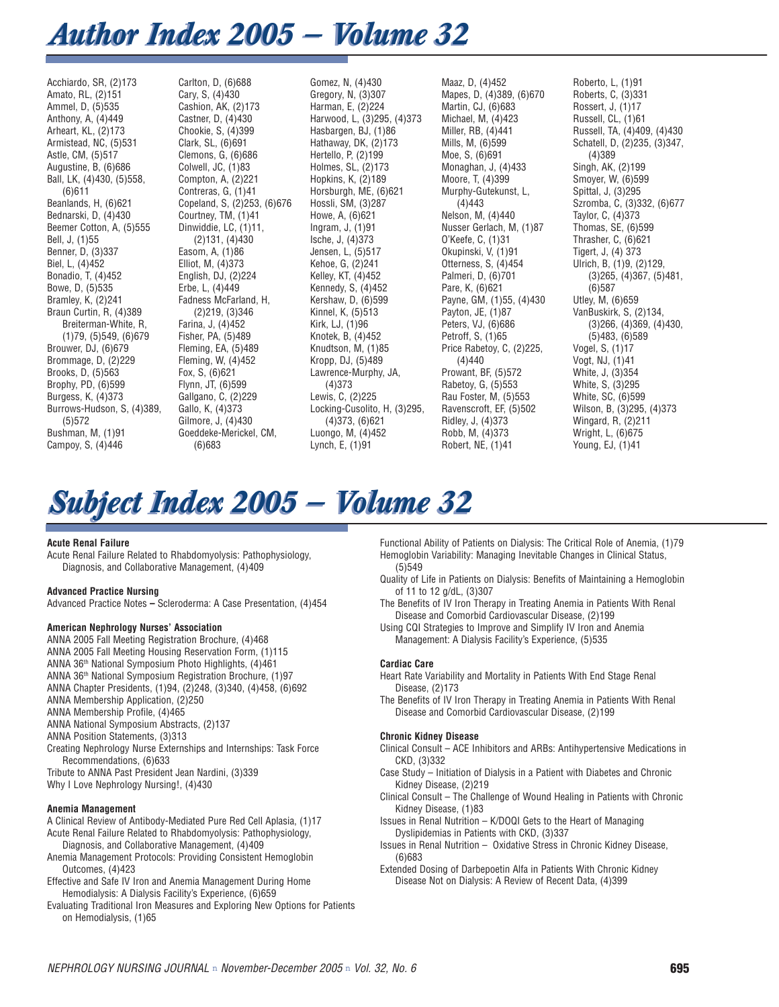# *Author Index 2005 — Volume 32 Author Index 2005 — Volume 32*

Acchiardo, SR, (2)173 Amato, RL, (2)151 Ammel, D, (5)535 Anthony, A, (4)449 Arheart, KL, (2)173 Armistead, NC, (5)531 Astle, CM, (5)517 Augustine, B, (6)686 Ball, LK, (4)430, (5)558, (6)611 Beanlands, H, (6)621 Bednarski, D, (4)430 Beemer Cotton, A, (5)555 Bell, J, (1)55 Benner, D, (3)337 Biel, L, (4)452 Bonadio, T, (4)452 Bowe, D, (5)535 Bramley, K, (2)241 Braun Curtin, R, (4)389 Breiterman-White, R, (1)79, (5)549, (6)679 Brouwer, DJ, (6)679 Brommage, D, (2)229 Brooks, D, (5)563 Brophy, PD, (6)599 Burgess, K, (4)373 Burrows-Hudson, S, (4)389, (5)572 Bushman, M, (1)91 Campoy, S, (4)446

Carlton, D, (6)688 Cary, S, (4)430 Cashion, AK, (2)173 Castner, D, (4)430 Chookie, S, (4)399 Clark, SL, (6)691 Clemons, G, (6)686 Colwell, JC, (1)83 Compton, A, (2)221 Contreras, G, (1)41 Copeland, S, (2)253, (6)676 Courtney, TM, (1)41 Dinwiddie, LC, (1)11, (2)131, (4)430 Easom, A, (1)86 Elliot, M, (4)373 English, DJ, (2)224 Erbe, L, (4)449 Fadness McFarland, H, (2)219, (3)346 Farina, J, (4)452 Fisher, PA, (5)489 Fleming, EA, (5)489 Fleming, W, (4)452 Fox, S, (6)621 Flynn, JT, (6)599 Gallgano, C, (2)229 Gallo, K, (4)373 Gilmore, J, (4)430 Goeddeke-Merickel, CM, (6)683

Gomez, N, (4)430 Gregory, N, (3)307 Harman, E, (2)224 Harwood, L, (3)295, (4)373 Hasbargen, BJ, (1)86 Hathaway, DK, (2)173 Hertello, P, (2)199 Holmes, SL, (2)173 Hopkins, K, (2)189 Horsburgh, ME, (6)621 Hossli, SM, (3)287 Howe, A, (6)621 Ingram, J, (1)91 Ische, J, (4)373 Jensen, L, (5)517 Kehoe, G, (2)241 Kelley, KT, (4)452 Kennedy, S, (4)452 Kershaw, D, (6)599 Kinnel, K, (5)513 Kirk, LJ, (1)96 Knotek, B, (4)452 Knudtson, M, (1)85 Kropp, DJ, (5)489 Lawrence-Murphy, JA, (4)373 Lewis, C, (2)225 Locking-Cusolito, H, (3)295, (4)373, (6)621 Luongo, M, (4)452 Lynch, E, (1)91

Maaz, D, (4)452 Mapes, D, (4)389, (6)670 Martin, CJ, (6)683 Michael, M, (4)423 Miller, RB, (4)441 Mills, M, (6)599 Moe, S, (6)691 Monaghan, J, (4)433 Moore, T, (4)399 Murphy-Gutekunst, L, (4)443 Nelson, M, (4)440 Nusser Gerlach, M, (1)87 O'Keefe, C, (1)31 Okupinski, V, (1)91 Otterness, S, (4)454 Palmeri, D, (6)701 Pare, K, (6)621 Payne, GM, (1)55, (4)430 Payton, JE, (1)87 Peters, VJ, (6)686 Petroff, S, (1)65 Price Rabetoy, C, (2)225, (4)440 Prowant, BF, (5)572 Rabetoy, G, (5)553 Rau Foster, M, (5)553 Ravenscroft, EF, (5)502 Ridley, J, (4)373 Robb, M, (4)373 Robert, NE, (1)41

Roberto, L, (1)91 Roberts, C, (3)331 Rossert, J, (1)17 Russell, CL, (1)61 Russell, TA, (4)409, (4)430 Schatell, D, (2)235, (3)347, (4)389 Singh, AK, (2)199 Smoyer, W, (6)599 Spittal, J, (3)295 Szromba, C, (3)332, (6)677 Taylor, C, (4)373 Thomas, SE, (6)599 Thrasher, C, (6)621 Tigert, J, (4) 373 Ulrich, B, (1)9, (2)129, (3)265, (4)367, (5)481, (6)587 Utley, M, (6)659 VanBuskirk, S, (2)134, (3)266, (4)369, (4)430, (5)483, (6)589 Vogel, S, (1)17 Vogt, NJ, (1)41 White, J, (3)354 White, S, (3)295 White, SC, (6)599 Wilson, B, (3)295, (4)373 Wingard, R, (2)211 Wright, L, (6)675 Young, EJ, (1)41

# *Subject Index 2005 — Volume 32 Subject Index 2005 — Volume 32*

# **Acute Renal Failure**

Acute Renal Failure Related to Rhabdomyolysis: Pathophysiology, Diagnosis, and Collaborative Management, (4)409

# **Advanced Practice Nursing**

Advanced Practice Notes **–** Scleroderma: A Case Presentation, (4)454

# **American Nephrology Nurses' Association**

ANNA 2005 Fall Meeting Registration Brochure, (4)468 ANNA 2005 Fall Meeting Housing Reservation Form, (1)115 ANNA 36th National Symposium Photo Highlights, (4)461 ANNA 36th National Symposium Registration Brochure, (1)97 ANNA Chapter Presidents, (1)94, (2)248, (3)340, (4)458, (6)692 ANNA Membership Application, (2)250 ANNA Membership Profile, (4)465 ANNA National Symposium Abstracts, (2)137 ANNA Position Statements, (3)313 Creating Nephrology Nurse Externships and Internships: Task Force Recommendations, (6)633

Tribute to ANNA Past President Jean Nardini, (3)339 Why I Love Nephrology Nursing!, (4)430

#### **Anemia Management**

A Clinical Review of Antibody-Mediated Pure Red Cell Aplasia, (1)17 Acute Renal Failure Related to Rhabdomyolysis: Pathophysiology,

- Diagnosis, and Collaborative Management, (4)409 Anemia Management Protocols: Providing Consistent Hemoglobin
- Outcomes, (4)423 Effective and Safe IV Iron and Anemia Management During Home
- Hemodialysis: A Dialysis Facility's Experience, (6)659
- Evaluating Traditional Iron Measures and Exploring New Options for Patients on Hemodialysis, (1)65

Functional Ability of Patients on Dialysis: The Critical Role of Anemia, (1)79 Hemoglobin Variability: Managing Inevitable Changes in Clinical Status, (5)549

- Quality of Life in Patients on Dialysis: Benefits of Maintaining a Hemoglobin of 11 to 12 g/dL, (3)307
- The Benefits of IV Iron Therapy in Treating Anemia in Patients With Renal Disease and Comorbid Cardiovascular Disease, (2)199
- Using CQI Strategies to Improve and Simplify IV Iron and Anemia Management: A Dialysis Facility's Experience, (5)535

# **Cardiac Care**

- Heart Rate Variability and Mortality in Patients With End Stage Renal Disease, (2)173
- The Benefits of IV Iron Therapy in Treating Anemia in Patients With Renal Disease and Comorbid Cardiovascular Disease, (2)199

#### **Chronic Kidney Disease**

- Clinical Consult ACE Inhibitors and ARBs: Antihypertensive Medications in CKD, (3)332
- Case Study Initiation of Dialysis in a Patient with Diabetes and Chronic Kidney Disease, (2)219
- Clinical Consult The Challenge of Wound Healing in Patients with Chronic Kidney Disease, (1)83
- Issues in Renal Nutrition K/DOQI Gets to the Heart of Managing Dyslipidemias in Patients with CKD, (3)337
- Issues in Renal Nutrition Oxidative Stress in Chronic Kidney Disease, (6)683
- Extended Dosing of Darbepoetin Alfa in Patients With Chronic Kidney Disease Not on Dialysis: A Review of Recent Data, (4)399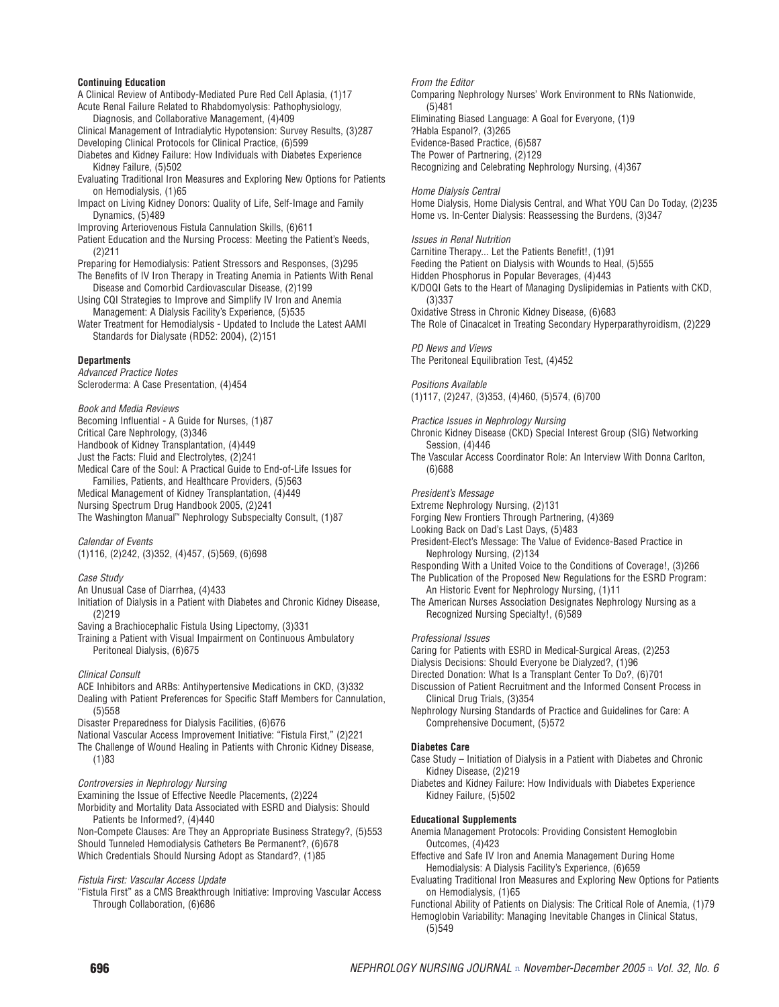#### **Continuing Education**

A Clinical Review of Antibody-Mediated Pure Red Cell Aplasia, (1)17 Acute Renal Failure Related to Rhabdomyolysis: Pathophysiology, Diagnosis, and Collaborative Management, (4)409 Clinical Management of Intradialytic Hypotension: Survey Results, (3)287 Developing Clinical Protocols for Clinical Practice, (6)599 Diabetes and Kidney Failure: How Individuals with Diabetes Experience Kidney Failure, (5)502 Evaluating Traditional Iron Measures and Exploring New Options for Patients on Hemodialysis, (1)65 Impact on Living Kidney Donors: Quality of Life, Self-Image and Family Dynamics, (5)489 Improving Arteriovenous Fistula Cannulation Skills, (6)611 Patient Education and the Nursing Process: Meeting the Patient's Needs, (2)211 Preparing for Hemodialysis: Patient Stressors and Responses, (3)295 The Benefits of IV Iron Therapy in Treating Anemia in Patients With Renal Disease and Comorbid Cardiovascular Disease, (2)199 Using CQI Strategies to Improve and Simplify IV Iron and Anemia Management: A Dialysis Facility's Experience, (5)535 Water Treatment for Hemodialysis - Updated to Include the Latest AAMI Standards for Dialysate (RD52: 2004), (2)151 **Departments**

Advanced Practice Notes Scleroderma: A Case Presentation, (4)454

Book and Media Reviews

Becoming Influential - A Guide for Nurses, (1)87 Critical Care Nephrology, (3)346 Handbook of Kidney Transplantation, (4)449 Just the Facts: Fluid and Electrolytes, (2)241 Medical Care of the Soul: A Practical Guide to End-of-Life Issues for Families, Patients, and Healthcare Providers, (5)563 Medical Management of Kidney Transplantation, (4)449 Nursing Spectrum Drug Handbook 2005, (2)241 The Washington Manual™ Nephrology Subspecialty Consult, (1)87

#### Calendar of Events

(1)116, (2)242, (3)352, (4)457, (5)569, (6)698

# Case Study

An Unusual Case of Diarrhea, (4)433

Initiation of Dialysis in a Patient with Diabetes and Chronic Kidney Disease, (2)219

Saving a Brachiocephalic Fistula Using Lipectomy, (3)331

Training a Patient with Visual Impairment on Continuous Ambulatory Peritoneal Dialysis, (6)675

# Clinical Consult

ACE Inhibitors and ARBs: Antihypertensive Medications in CKD, (3)332 Dealing with Patient Preferences for Specific Staff Members for Cannulation, (5)558

Disaster Preparedness for Dialysis Facilities, (6)676

National Vascular Access Improvement Initiative: "Fistula First," (2)221 The Challenge of Wound Healing in Patients with Chronic Kidney Disease, (1)83

# Controversies in Nephrology Nursing

Examining the Issue of Effective Needle Placements, (2)224

Morbidity and Mortality Data Associated with ESRD and Dialysis: Should Patients be Informed?, (4)440

Non-Compete Clauses: Are They an Appropriate Business Strategy?, (5)553 Should Tunneled Hemodialysis Catheters Be Permanent?, (6)678 Which Credentials Should Nursing Adopt as Standard?, (1)85

# Fistula First: Vascular Access Update

"Fistula First" as a CMS Breakthrough Initiative: Improving Vascular Access Through Collaboration, (6)686

From the Editor Comparing Nephrology Nurses' Work Environment to RNs Nationwide, (5)481 Eliminating Biased Language: A Goal for Everyone, (1)9 ?Habla Espanol?, (3)265 Evidence-Based Practice, (6)587 The Power of Partnering, (2)129 Recognizing and Celebrating Nephrology Nursing, (4)367

Home Dialysis Central Home Dialysis, Home Dialysis Central, and What YOU Can Do Today, (2)235 Home vs. In-Center Dialysis: Reassessing the Burdens, (3)347

#### Issues in Renal Nutrition

Carnitine Therapy... Let the Patients Benefit!, (1)91 Feeding the Patient on Dialysis with Wounds to Heal, (5)555 Hidden Phosphorus in Popular Beverages, (4)443 K/DOQI Gets to the Heart of Managing Dyslipidemias in Patients with CKD, (3)337 Oxidative Stress in Chronic Kidney Disease, (6)683 The Role of Cinacalcet in Treating Secondary Hyperparathyroidism, (2)229

PD News and Views The Peritoneal Equilibration Test, (4)452

#### Positions Available (1)117, (2)247, (3)353, (4)460, (5)574, (6)700

Practice Issues in Nephrology Nursing

Chronic Kidney Disease (CKD) Special Interest Group (SIG) Networking Session, (4)446

The Vascular Access Coordinator Role: An Interview With Donna Carlton, (6)688

#### President's Message

Extreme Nephrology Nursing, (2)131

Forging New Frontiers Through Partnering, (4)369

- Looking Back on Dad's Last Days, (5)483
- President-Elect's Message: The Value of Evidence-Based Practice in Nephrology Nursing, (2)134

Responding With a United Voice to the Conditions of Coverage!, (3)266 The Publication of the Proposed New Regulations for the ESRD Program: An Historic Event for Nephrology Nursing, (1)11

The American Nurses Association Designates Nephrology Nursing as a Recognized Nursing Specialty!, (6)589

#### Professional Issues

Caring for Patients with ESRD in Medical-Surgical Areas, (2)253 Dialysis Decisions: Should Everyone be Dialyzed?, (1)96 Directed Donation: What Is a Transplant Center To Do?, (6)701 Discussion of Patient Recruitment and the Informed Consent Process in Clinical Drug Trials, (3)354 Nephrology Nursing Standards of Practice and Guidelines for Care: A Comprehensive Document, (5)572 **Diabetes Care** Case Study – Initiation of Dialysis in a Patient with Diabetes and Chronic Kidney Disease, (2)219 Diabetes and Kidney Failure: How Individuals with Diabetes Experience Kidney Failure, (5)502

#### **Educational Supplements**

Anemia Management Protocols: Providing Consistent Hemoglobin Outcomes, (4)423

Effective and Safe IV Iron and Anemia Management During Home Hemodialysis: A Dialysis Facility's Experience, (6)659

Evaluating Traditional Iron Measures and Exploring New Options for Patients on Hemodialysis, (1)65

Functional Ability of Patients on Dialysis: The Critical Role of Anemia, (1)79 Hemoglobin Variability: Managing Inevitable Changes in Clinical Status, (5)549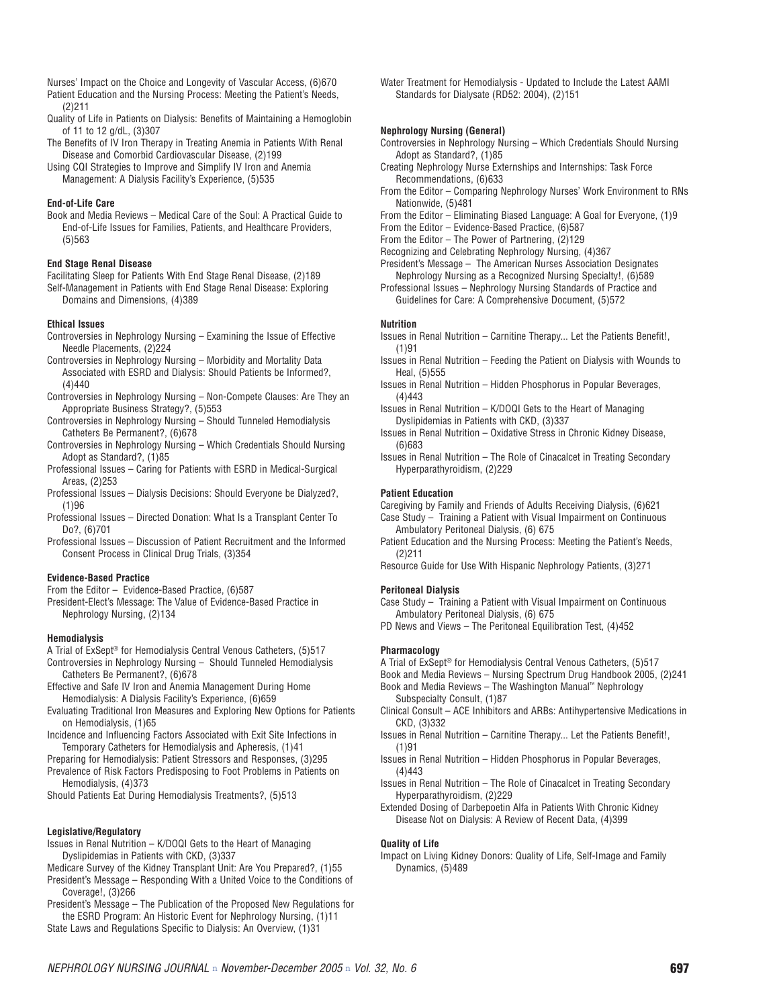- Nurses' Impact on the Choice and Longevity of Vascular Access, (6)670 Patient Education and the Nursing Process: Meeting the Patient's Needs, (2)211
- Quality of Life in Patients on Dialysis: Benefits of Maintaining a Hemoglobin of 11 to 12 g/dL, (3)307
- The Benefits of IV Iron Therapy in Treating Anemia in Patients With Renal Disease and Comorbid Cardiovascular Disease, (2)199
- Using CQI Strategies to Improve and Simplify IV Iron and Anemia Management: A Dialysis Facility's Experience, (5)535

# **End-of-Life Care**

Book and Media Reviews – Medical Care of the Soul: A Practical Guide to End-of-Life Issues for Families, Patients, and Healthcare Providers, (5)563

#### **End Stage Renal Disease**

Facilitating Sleep for Patients With End Stage Renal Disease, (2)189 Self-Management in Patients with End Stage Renal Disease: Exploring Domains and Dimensions, (4)389

#### **Ethical Issues**

- Controversies in Nephrology Nursing Examining the Issue of Effective Needle Placements, (2)224
- Controversies in Nephrology Nursing Morbidity and Mortality Data Associated with ESRD and Dialysis: Should Patients be Informed?, (4)440
- Controversies in Nephrology Nursing Non-Compete Clauses: Are They an Appropriate Business Strategy?, (5)553
- Controversies in Nephrology Nursing Should Tunneled Hemodialysis Catheters Be Permanent?, (6)678
- Controversies in Nephrology Nursing Which Credentials Should Nursing Adopt as Standard?, (1)85
- Professional Issues Caring for Patients with ESRD in Medical-Surgical Areas, (2)253
- Professional Issues Dialysis Decisions: Should Everyone be Dialyzed?, (1)96
- Professional Issues Directed Donation: What Is a Transplant Center To Do?, (6)701
- Professional Issues Discussion of Patient Recruitment and the Informed Consent Process in Clinical Drug Trials, (3)354

#### **Evidence-Based Practice**

From the Editor – Evidence-Based Practice, (6)587

President-Elect's Message: The Value of Evidence-Based Practice in Nephrology Nursing, (2)134

#### **Hemodialysis**

- A Trial of ExSept® for Hemodialysis Central Venous Catheters, (5)517 Controversies in Nephrology Nursing – Should Tunneled Hemodialysis Catheters Be Permanent?, (6)678
- Effective and Safe IV Iron and Anemia Management During Home Hemodialysis: A Dialysis Facility's Experience, (6)659
- Evaluating Traditional Iron Measures and Exploring New Options for Patients on Hemodialysis, (1)65

Incidence and Influencing Factors Associated with Exit Site Infections in Temporary Catheters for Hemodialysis and Apheresis, (1)41

Preparing for Hemodialysis: Patient Stressors and Responses, (3)295 Prevalence of Risk Factors Predisposing to Foot Problems in Patients on

Hemodialysis, (4)373 Should Patients Eat During Hemodialysis Treatments?, (5)513

# **Legislative/Regulatory**

- Issues in Renal Nutrition K/DOQI Gets to the Heart of Managing Dyslipidemias in Patients with CKD, (3)337
- Medicare Survey of the Kidney Transplant Unit: Are You Prepared?, (1)55 President's Message – Responding With a United Voice to the Conditions of Coverage!, (3)266
- President's Message The Publication of the Proposed New Regulations for the ESRD Program: An Historic Event for Nephrology Nursing, (1)11
- State Laws and Regulations Specific to Dialysis: An Overview, (1)31

Water Treatment for Hemodialysis - Updated to Include the Latest AAMI Standards for Dialysate (RD52: 2004), (2)151

#### **Nephrology Nursing (General)**

- Controversies in Nephrology Nursing Which Credentials Should Nursing Adopt as Standard?, (1)85
- Creating Nephrology Nurse Externships and Internships: Task Force Recommendations, (6)633
- From the Editor Comparing Nephrology Nurses' Work Environment to RNs Nationwide, (5)481

From the Editor – Eliminating Biased Language: A Goal for Everyone, (1)9

- From the Editor Evidence-Based Practice, (6)587
- From the Editor The Power of Partnering, (2)129
- Recognizing and Celebrating Nephrology Nursing, (4)367
- President's Message The American Nurses Association Designates Nephrology Nursing as a Recognized Nursing Specialty!, (6)589
- Professional Issues Nephrology Nursing Standards of Practice and Guidelines for Care: A Comprehensive Document, (5)572

#### **Nutrition**

- Issues in Renal Nutrition Carnitine Therapy... Let the Patients Benefit!, (1)91
- Issues in Renal Nutrition Feeding the Patient on Dialysis with Wounds to Heal, (5)555
- Issues in Renal Nutrition Hidden Phosphorus in Popular Beverages, (4)443
- Issues in Renal Nutrition K/DOQI Gets to the Heart of Managing Dyslipidemias in Patients with CKD, (3)337
- Issues in Renal Nutrition Oxidative Stress in Chronic Kidney Disease, (6)683
- Issues in Renal Nutrition The Role of Cinacalcet in Treating Secondary Hyperparathyroidism, (2)229

# **Patient Education**

Caregiving by Family and Friends of Adults Receiving Dialysis, (6)621 Case Study – Training a Patient with Visual Impairment on Continuous Ambulatory Peritoneal Dialysis, (6) 675

Patient Education and the Nursing Process: Meeting the Patient's Needs, (2)211

Resource Guide for Use With Hispanic Nephrology Patients, (3)271

#### **Peritoneal Dialysis**

- Case Study Training a Patient with Visual Impairment on Continuous Ambulatory Peritoneal Dialysis, (6) 675
- PD News and Views The Peritoneal Equilibration Test, (4)452

# **Pharmacology**

A Trial of ExSept® for Hemodialysis Central Venous Catheters, (5)517

Book and Media Reviews – Nursing Spectrum Drug Handbook 2005, (2)241

- Book and Media Reviews The Washington Manual™ Nephrology Subspecialty Consult, (1)87
- Clinical Consult ACE Inhibitors and ARBs: Antihypertensive Medications in CKD, (3)332
- Issues in Renal Nutrition Carnitine Therapy... Let the Patients Benefit!, (1)91
- Issues in Renal Nutrition Hidden Phosphorus in Popular Beverages, (4)443
- Issues in Renal Nutrition The Role of Cinacalcet in Treating Secondary Hyperparathyroidism, (2)229
- Extended Dosing of Darbepoetin Alfa in Patients With Chronic Kidney Disease Not on Dialysis: A Review of Recent Data, (4)399

# **Quality of Life**

Impact on Living Kidney Donors: Quality of Life, Self-Image and Family Dynamics, (5)489